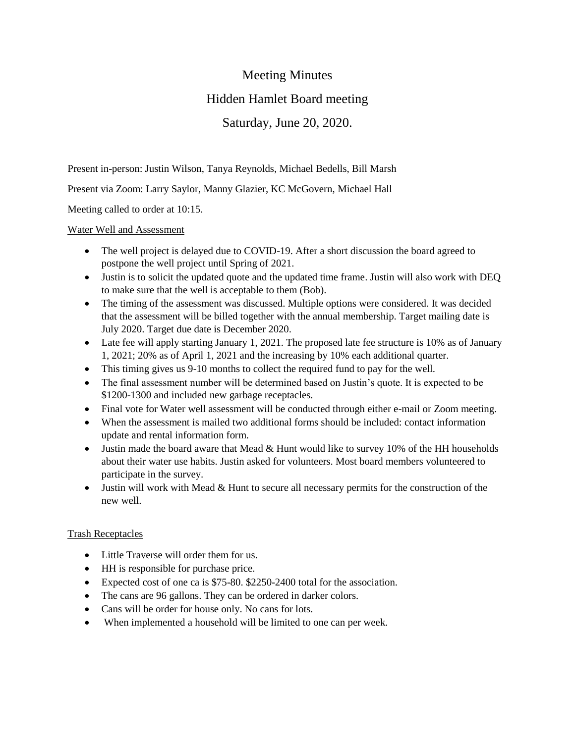## Meeting Minutes

# Hidden Hamlet Board meeting

### Saturday, June 20, 2020.

Present in-person: Justin Wilson, Tanya Reynolds, Michael Bedells, Bill Marsh

Present via Zoom: Larry Saylor, Manny Glazier, KC McGovern, Michael Hall

Meeting called to order at 10:15.

#### Water Well and Assessment

- The well project is delayed due to COVID-19. After a short discussion the board agreed to postpone the well project until Spring of 2021.
- Justin is to solicit the updated quote and the updated time frame. Justin will also work with DEQ to make sure that the well is acceptable to them (Bob).
- The timing of the assessment was discussed. Multiple options were considered. It was decided that the assessment will be billed together with the annual membership. Target mailing date is July 2020. Target due date is December 2020.
- Late fee will apply starting January 1, 2021. The proposed late fee structure is 10% as of January 1, 2021; 20% as of April 1, 2021 and the increasing by 10% each additional quarter.
- This timing gives us 9-10 months to collect the required fund to pay for the well.
- The final assessment number will be determined based on Justin's quote. It is expected to be \$1200-1300 and included new garbage receptacles.
- Final vote for Water well assessment will be conducted through either e-mail or Zoom meeting.
- When the assessment is mailed two additional forms should be included: contact information update and rental information form.
- Justin made the board aware that Mead & Hunt would like to survey 10% of the HH households about their water use habits. Justin asked for volunteers. Most board members volunteered to participate in the survey.
- Justin will work with Mead & Hunt to secure all necessary permits for the construction of the new well.

### Trash Receptacles

- Little Traverse will order them for us.
- HH is responsible for purchase price.
- Expected cost of one ca is \$75-80. \$2250-2400 total for the association.
- The cans are 96 gallons. They can be ordered in darker colors.
- Cans will be order for house only. No cans for lots.
- When implemented a household will be limited to one can per week.